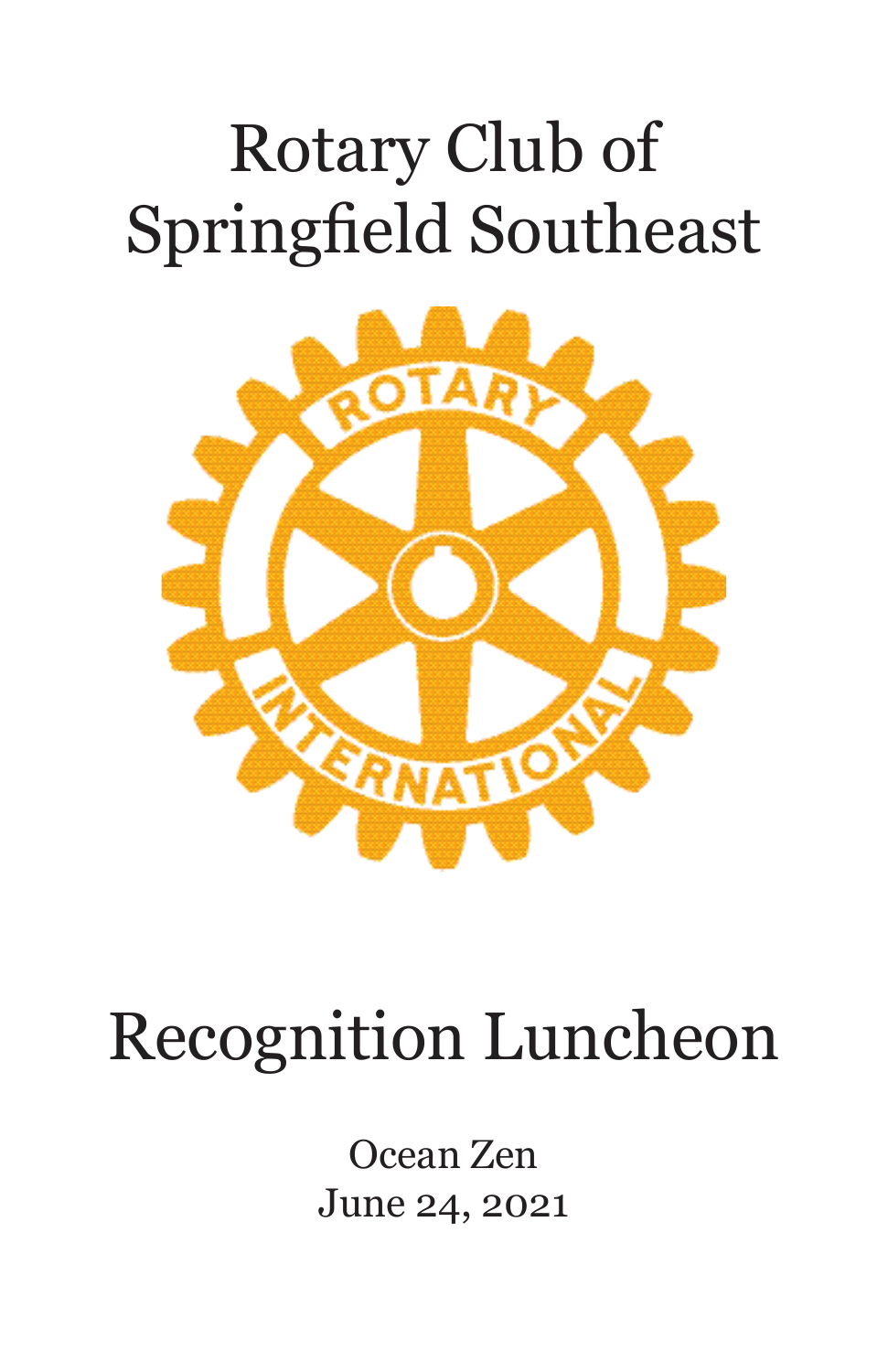# Rotary Club of Springfield Southeast



# Recognition Luncheon

Ocean Zen June 24, 2021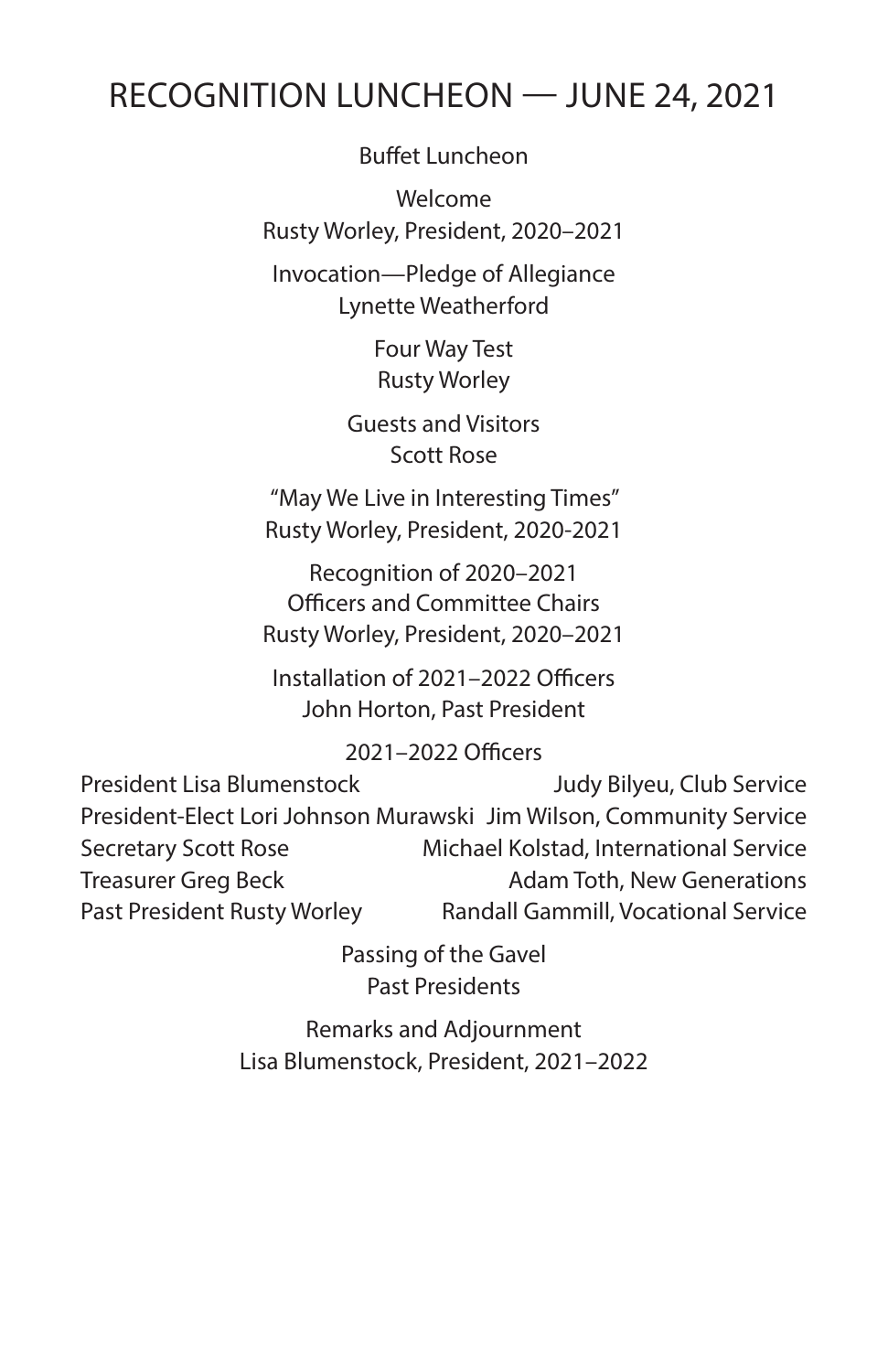### RECOGNITION LUNCHEON — JUNE 24, 2021

Buffet Luncheon

Welcome Rusty Worley, President, 2020–2021

Invocation—Pledge of Allegiance Lynette Weatherford

> Four Way Test Rusty Worley

Guests and Visitors Scott Rose

"May We Live in Interesting Times" Rusty Worley, President, 2020-2021

Recognition of 2020–2021 Officers and Committee Chairs Rusty Worley, President, 2020–2021

Installation of 2021–2022 Officers John Horton, Past President

#### 2021–2022 Officers

President Lisa Blumenstock Judy Bilyeu, Club Service President-Elect Lori Johnson Murawski Jim Wilson, Community Service Secretary Scott Rose Michael Kolstad, International Service Treasurer Greg Beck Treasurer Greg Beck Adam Toth, New Generations Past President Rusty Worley Randall Gammill, Vocational Service

> Passing of the Gavel Past Presidents

Remarks and Adjournment Lisa Blumenstock, President, 2021–2022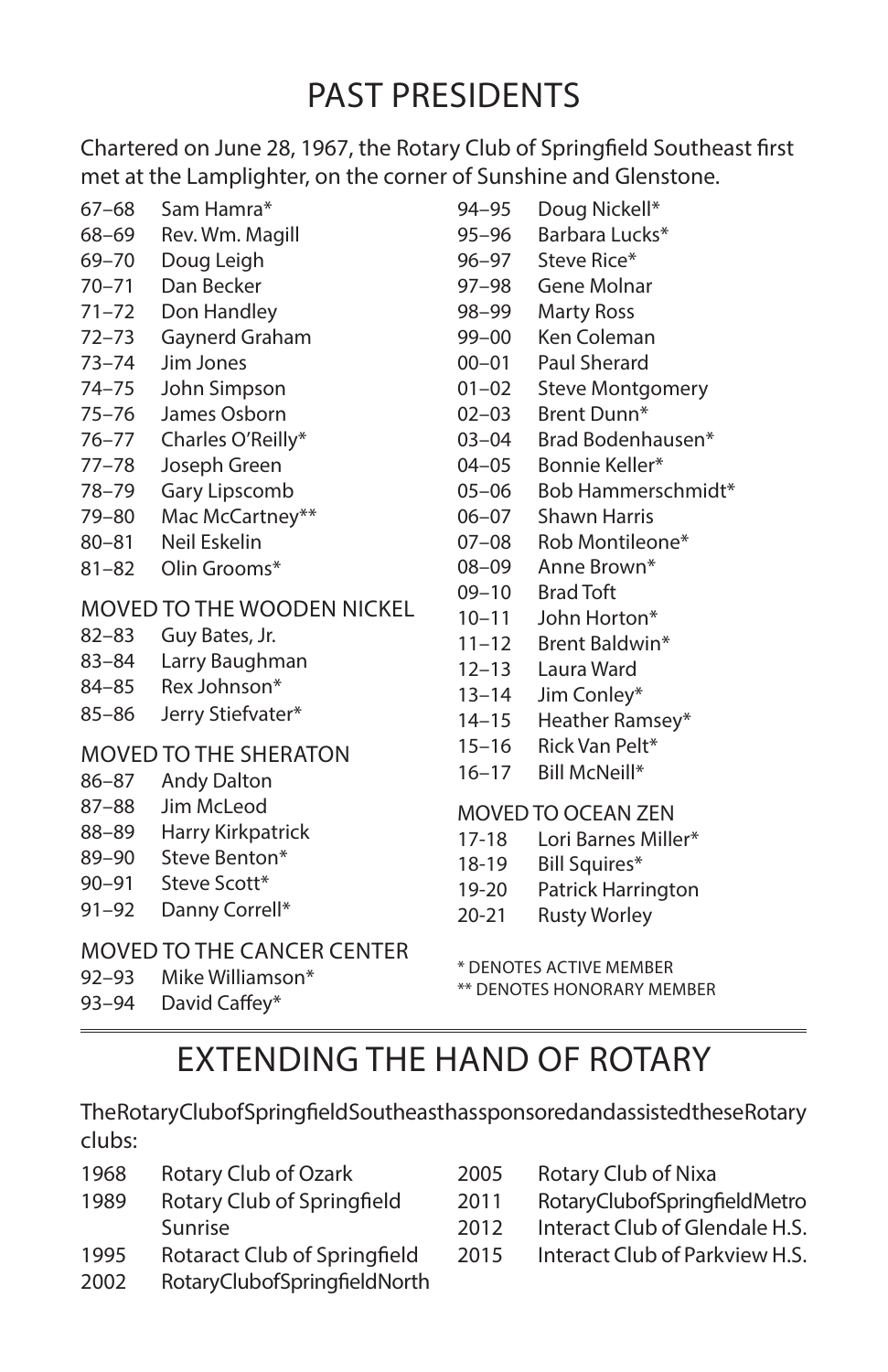### PAST PRESIDENTS

Chartered on June 28, 1967, the Rotary Club of Springfield Southeast first met at the Lamplighter, on the corner of Sunshine and Glenstone.

- 67–68 Sam Hamra\*
- 68–69 Rev. Wm. Magill
- 69–70 Doug Leigh
- 70–71 Dan Becker
- 71–72 Don Handley
- 72–73 Gaynerd Graham
- 73–74 Jim Jones
- 74–75 John Simpson
- 75–76 James Osborn
- 76–77 Charles O'Reilly\*
- 77–78 Joseph Green
- 78–79 Gary Lipscomb
- 79–80 Mac McCartney\*\*
- 80–81 Neil Eskelin
- 81–82 Olin Grooms\*

#### MOVED TO THE WOODEN NICKEL

- 82–83 Guy Bates, Jr.
- 83–84 Larry Baughman
- 84–85 Rex Johnson\*
- 85–86 Jerry Stiefvater\*

#### MOVED TO THE SHERATON

- 86–87 Andy Dalton
- 87–88 Jim McLeod
- 88–89 Harry Kirkpatrick
- 89–90 Steve Benton\*
- 90-91 Steve Scott\*
- 91–92 Danny Correll\*

#### MOVED TO THE CANCER CENTER

- 92–93 Mike Williamson\*
- 93–94 David Caffey\*
- 94–95 Doug Nickell\* 95–96 Barbara Lucks\* 96–97 Steve Rice\* 97–98 Gene Molnar 98–99 Marty Ross 99–00 Ken Coleman 00–01 Paul Sherard 01–02 Steve Montgomery 02–03 Brent Dunn\* 03–04 Brad Bodenhausen\* 04–05 Bonnie Keller\* 05–06 Bob Hammerschmidt\* 06–07 Shawn Harris 07–08 Rob Montileone\* 08–09 Anne Brown\* 09–10 Brad Toft 10–11 John Horton\* 11–12 Brent Baldwin\* 12–13 Laura Ward
- 13–14 Jim Conley\*
- 14–15 Heather Ramsey\*
- 15–16 Rick Van Pelt\*
- 16–17 Bill McNeill\*

#### MOVED TO OCEAN ZEN

- 17-18 Lori Barnes Miller\*
- 18-19 Bill Squires\*
- 19-20 Patrick Harrington
- 20-21 Rusty Worley

\* DENOTES ACTIVE MEMBER \*\* DENOTES HONORARY MEMBER

### EXTENDING THE HAND OF ROTARY

The Rotary Club of Springfield Southeast has sponsored and assisted these Rotary clubs:

- 1968 Rotary Club of Ozark
- 1989 Rotary Club of Springfield Sunrise
- 1995 Rotaract Club of Springfield
- 2002 Rotary Club of Spring field North
- 2005 Rotary Club of Nixa
- 2011 Rotary Club of Spring field Metro
- 2012 Interact Club of Glendale H.S.
- 2015 Interact Club of Parkview H.S.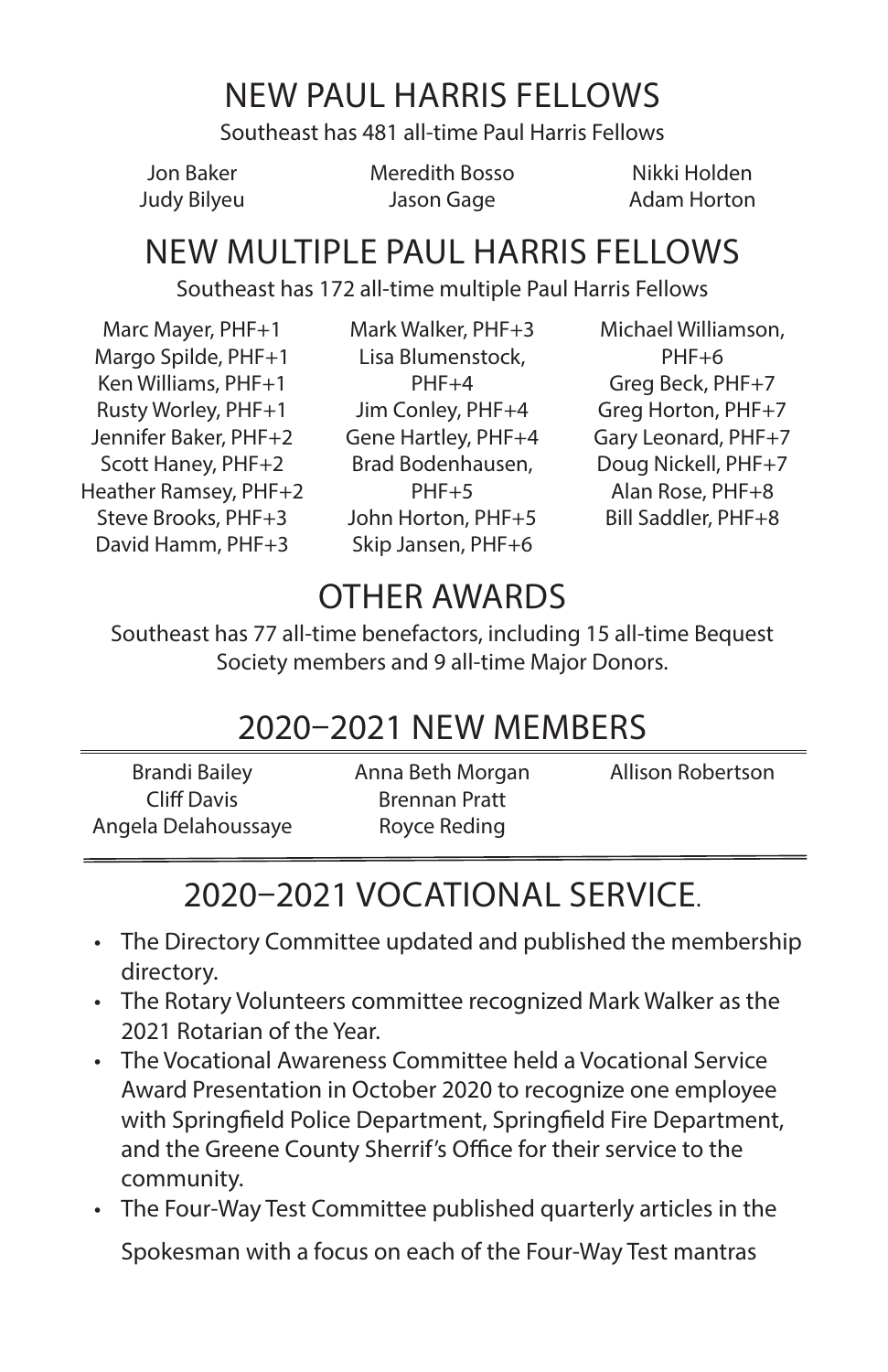### NEW PAUL HARRIS FELLOWS

Southeast has 481 all-time Paul Harris Fellows

Jon Baker Judy Bilyeu Meredith Bosso Jason Gage

Nikki Holden Adam Horton

### NEW MULTIPLE PAUL HARRIS FELLOWS

Southeast has 172 all-time multiple Paul Harris Fellows

Marc Mayer, PHF+1 Margo Spilde, PHF+1 Ken Williams, PHF+1 Rusty Worley, PHF+1 Jennifer Baker, PHF+2 Scott Haney, PHF+2 Heather Ramsey, PHF+2 Steve Brooks, PHF+3 David Hamm, PHF+3

Mark Walker, PHF+3 Lisa Blumenstock,  $PHF+4$ Jim Conley, PHF+4 Gene Hartley, PHF+4 Brad Bodenhausen,  $PHF+5$ John Horton, PHF+5 Skip Jansen, PHF+6

Michael Williamson, PHF+6 Greg Beck, PHF+7 Greg Horton, PHF+7 Gary Leonard, PHF+7 Doug Nickell, PHF+7 Alan Rose, PHF+8 Bill Saddler, PHF+8

## OTHER AWARDS

Southeast has 77 all-time benefactors, including 15 all-time Bequest Society members and 9 all-time Major Donors.

### 2020–2021 NEW MEMBERS

Brandi Bailey Cliff Davis Angela Delahoussaye Anna Beth Morgan Brennan Pratt Royce Reding Allison Robertson

### 2020–2021 VOCATIONAL SERVICE.

- The Directory Committee updated and published the membership directory.
- The Rotary Volunteers committee recognized Mark Walker as the 2021 Rotarian of the Year.
- The Vocational Awareness Committee held a Vocational Service Award Presentation in October 2020 to recognize one employee with Springfield Police Department, Springfield Fire Department, and the Greene County Sherrif's Office for their service to the community.
- The Four-Way Test Committee published quarterly articles in the Spokesman with a focus on each of the Four-Way Test mantras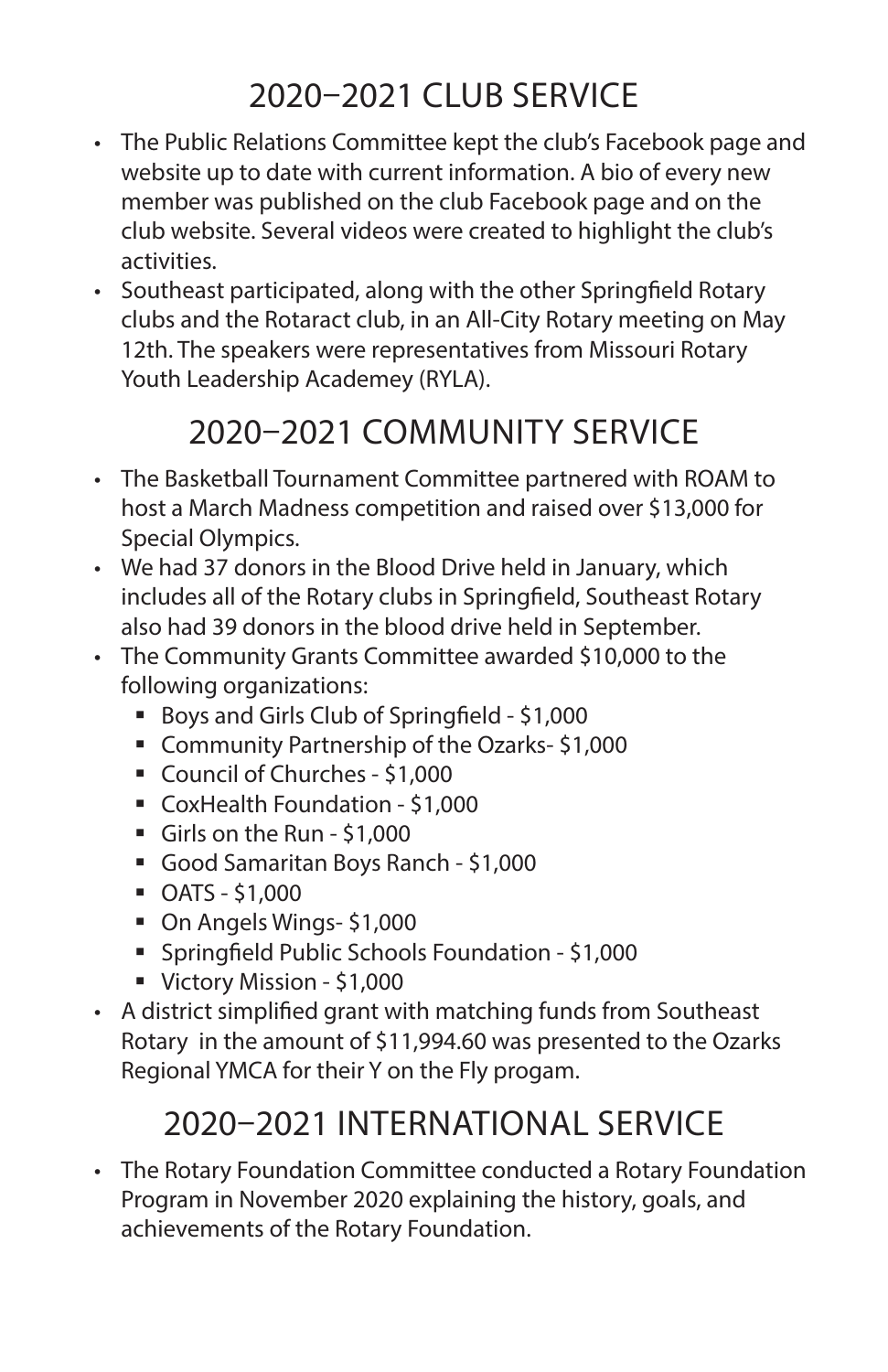### 2020–2021 CLUB SERVICE

- The Public Relations Committee kept the club's Facebook page and website up to date with current information. A bio of every new member was published on the club Facebook page and on the club website. Several videos were created to highlight the club's activities.
- Southeast participated, along with the other Springfield Rotary clubs and the Rotaract club, in an All-City Rotary meeting on May 12th. The speakers were representatives from Missouri Rotary Youth Leadership Academey (RYLA).

### 2020–2021 COMMUNITY SERVICE

- The Basketball Tournament Committee partnered with ROAM to host a March Madness competition and raised over \$13,000 for Special Olympics.
- We had 37 donors in the Blood Drive held in January, which includes all of the Rotary clubs in Springfield, Southeast Rotary also had 39 donors in the blood drive held in September.
- The Community Grants Committee awarded \$10,000 to the following organizations:
	- Boys and Girls Club of Springfield \$1,000
	- Community Partnership of the Ozarks- \$1,000
	- Council of Churches \$1,000
	- CoxHealth Foundation \$1,000
	- Girls on the Run \$1,000
	- Good Samaritan Boys Ranch \$1,000
	- OATS \$1,000
	- On Angels Wings- \$1,000
	- Springfield Public Schools Foundation \$1,000
	- Victory Mission \$1,000
- A district simplified grant with matching funds from Southeast Rotary in the amount of \$11,994.60 was presented to the Ozarks Regional YMCA for their Y on the Fly progam.

### 2020–2021 INTERNATIONAL SERVICE

• The Rotary Foundation Committee conducted a Rotary Foundation Program in November 2020 explaining the history, goals, and achievements of the Rotary Foundation.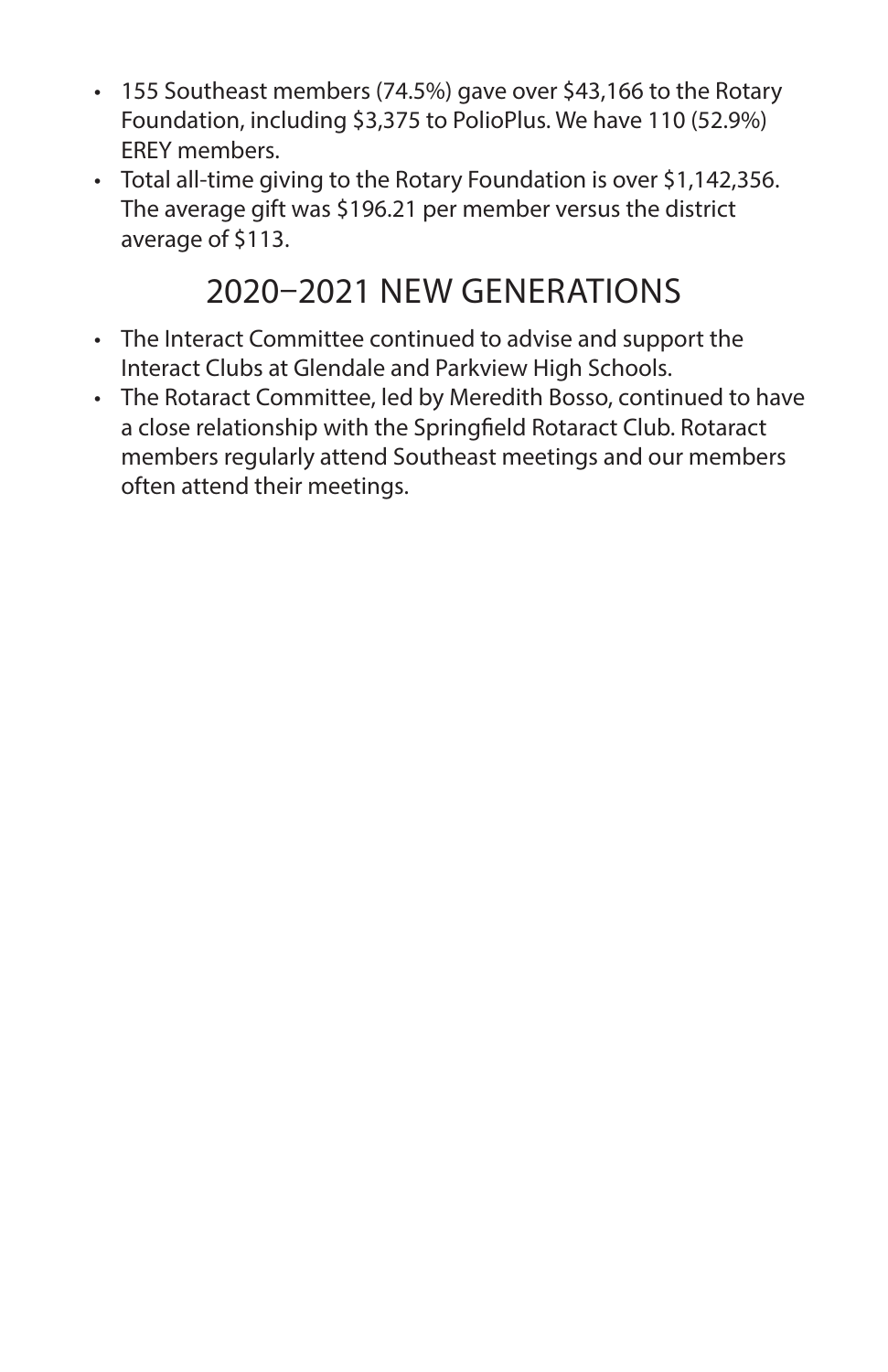- 155 Southeast members (74.5%) gave over \$43,166 to the Rotary Foundation, including \$3,375 to PolioPlus. We have 110 (52.9%) EREY members.
- Total all-time giving to the Rotary Foundation is over \$1,142,356. The average gift was \$196.21 per member versus the district average of \$113.

### 2020–2021 NEW GENERATIONS

- The Interact Committee continued to advise and support the Interact Clubs at Glendale and Parkview High Schools.
- The Rotaract Committee, led by Meredith Bosso, continued to have a close relationship with the Springfield Rotaract Club. Rotaract members regularly attend Southeast meetings and our members often attend their meetings.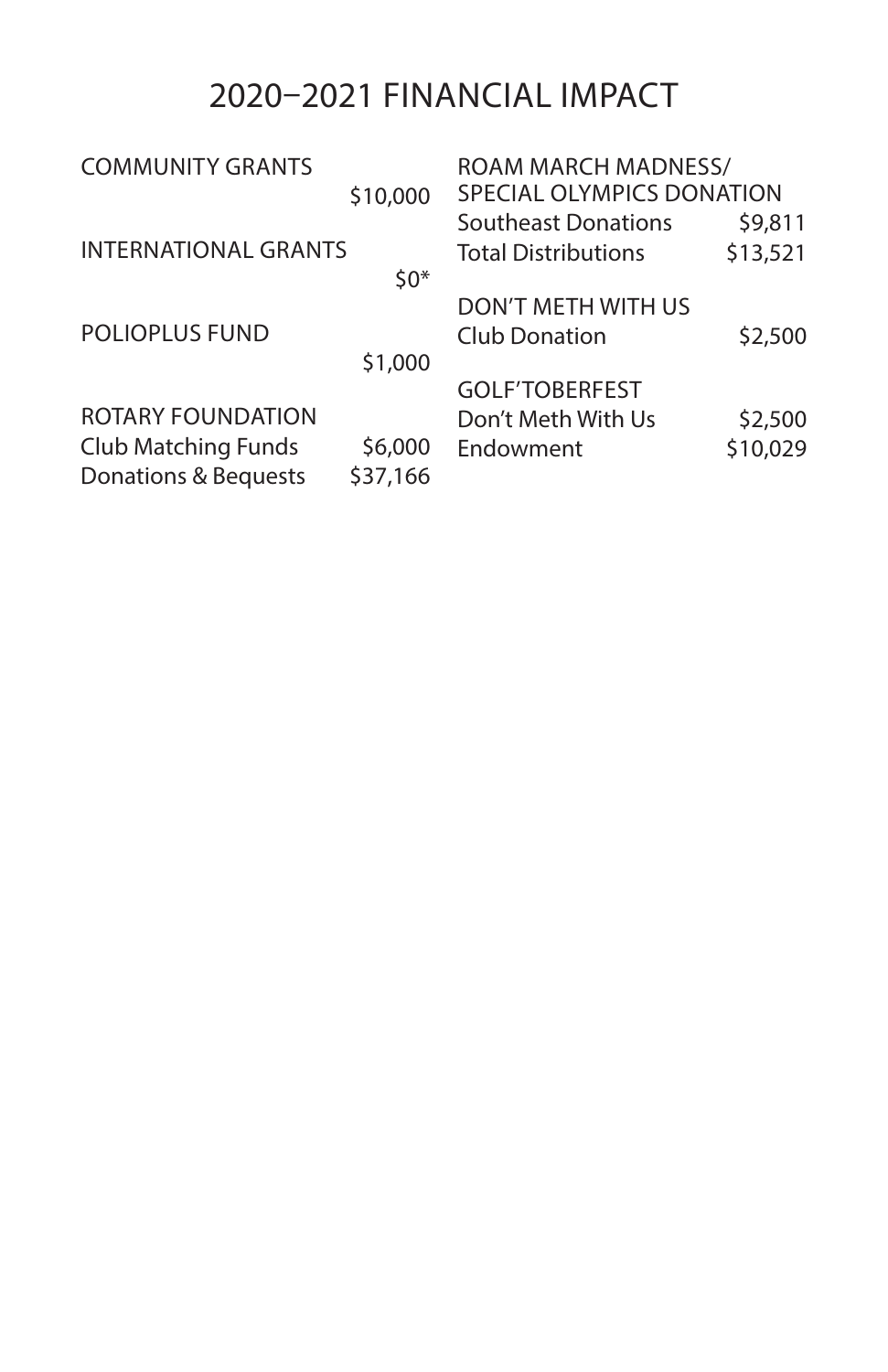### 2020–2021 FINANCIAL IMPACT

| <b>ROAM MARCH MADNESS/</b> |  |
|----------------------------|--|
| SPECIAL OLYMPICS DONATION  |  |
| \$9,811                    |  |
| \$13,521                   |  |
|                            |  |
|                            |  |
| \$2,500                    |  |
|                            |  |
|                            |  |
| \$2,500                    |  |
| \$10,029                   |  |
|                            |  |
|                            |  |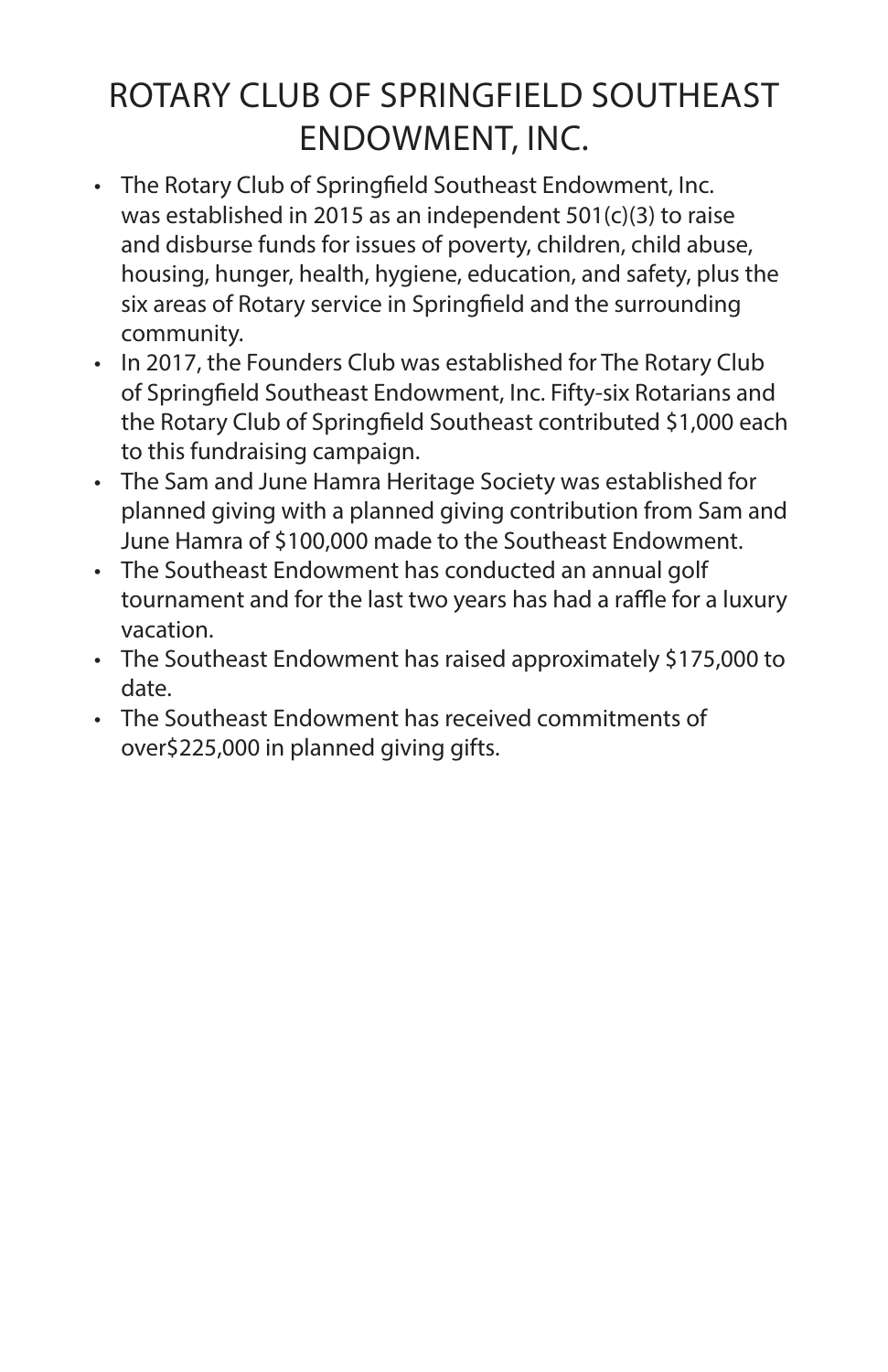### ROTARY CLUB OF SPRINGFIELD SOUTHEAST ENDOWMENT, INC.

- The Rotary Club of Springfield Southeast Endowment, Inc. was established in 2015 as an independent 501(c)(3) to raise and disburse funds for issues of poverty, children, child abuse, housing, hunger, health, hygiene, education, and safety, plus the six areas of Rotary service in Springfield and the surrounding community.
- In 2017, the Founders Club was established for The Rotary Club of Springfield Southeast Endowment, Inc. Fifty-six Rotarians and the Rotary Club of Springfield Southeast contributed \$1,000 each to this fundraising campaign.
- The Sam and June Hamra Heritage Society was established for planned giving with a planned giving contribution from Sam and June Hamra of \$100,000 made to the Southeast Endowment.
- The Southeast Endowment has conducted an annual golf tournament and for the last two years has had a raffle for a luxury vacation.
- The Southeast Endowment has raised approximately \$175,000 to date.
- The Southeast Endowment has received commitments of over\$225,000 in planned giving gifts.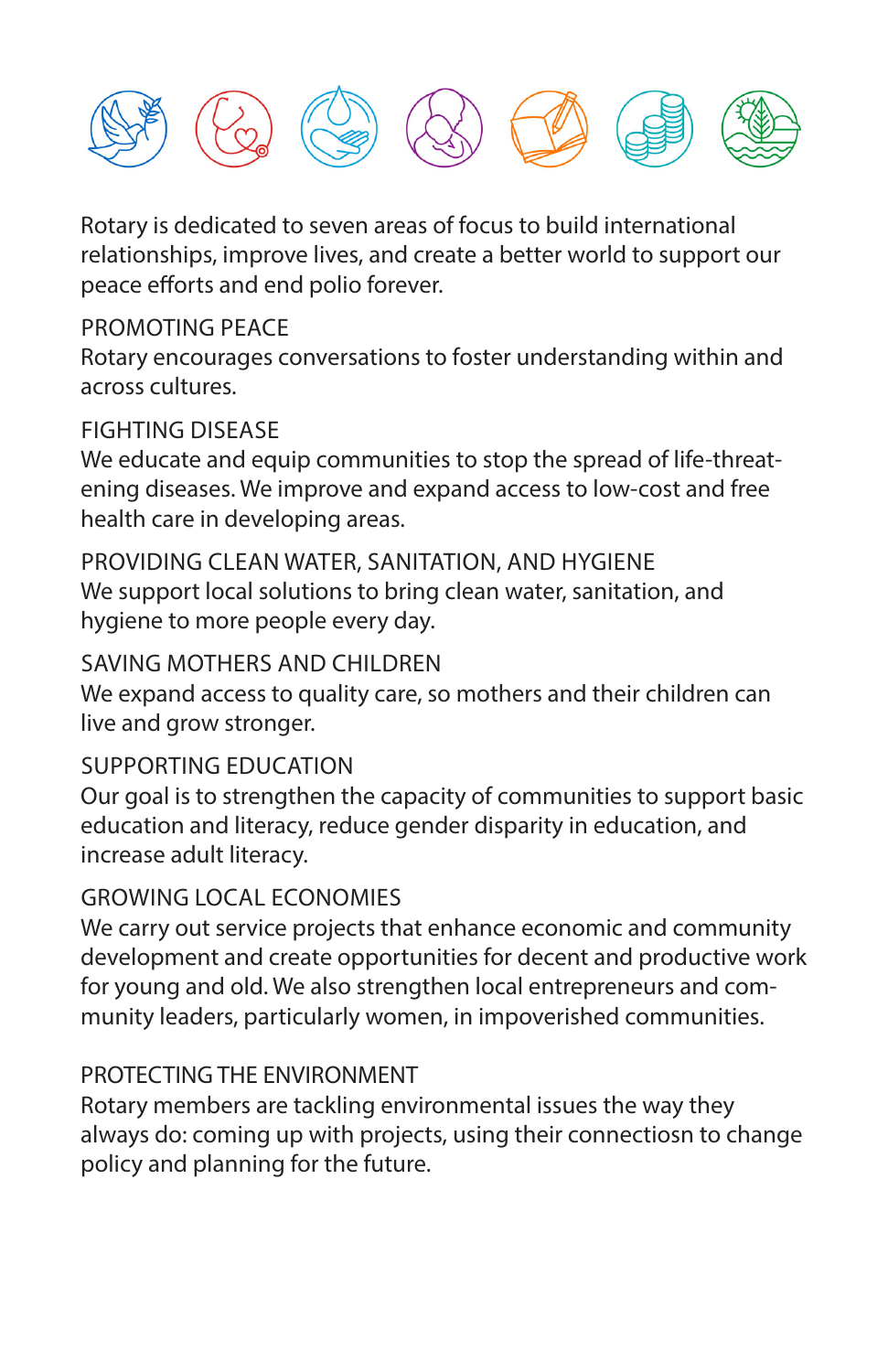

Rotary is dedicated to seven areas of focus to build international relationships, improve lives, and create a better world to support our peace efforts and end polio forever.

#### PROMOTING PEACE

Rotary encourages conversations to foster understanding within and across cultures.

#### FIGHTING DISEASE

We educate and equip communities to stop the spread of life-threatening diseases. We improve and expand access to low-cost and free health care in developing areas.

PROVIDING CLEAN WATER, SANITATION, AND HYGIENE We support local solutions to bring clean water, sanitation, and hygiene to more people every day.

#### SAVING MOTHERS AND CHILDREN

We expand access to quality care, so mothers and their children can live and grow stronger.

#### SUPPORTING EDUCATION

Our goal is to strengthen the capacity of communities to support basic education and literacy, reduce gender disparity in education, and increase adult literacy.

#### GROWING LOCAL ECONOMIES

We carry out service projects that enhance economic and community development and create opportunities for decent and productive work for young and old. We also strengthen local entrepreneurs and community leaders, particularly women, in impoverished communities.

#### PROTECTING THE ENVIRONMENT

Rotary members are tackling environmental issues the way they always do: coming up with projects, using their connectiosn to change policy and planning for the future.